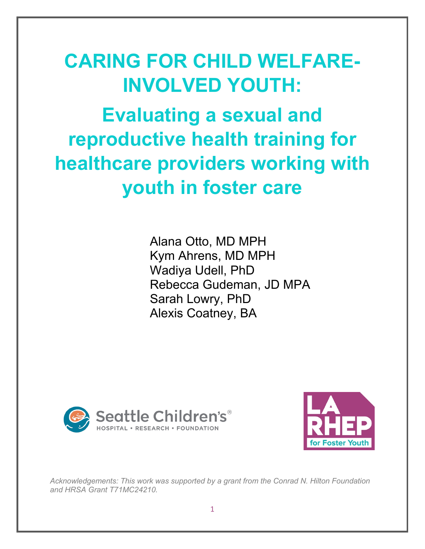# **CARING FOR CHILD WELFARE-INVOLVED YOUTH:**

**Evaluating a sexual and reproductive health training for healthcare providers working with youth in foster care**

> Alana Otto, MD MPH Kym Ahrens, MD MPH Wadiya Udell, PhD Rebecca Gudeman, JD MPA Sarah Lowry, PhD Alexis Coatney, BA





*Acknowledgements: This work was supported by a grant from the Conrad N. Hilton Foundation and HRSA Grant T71MC24210.*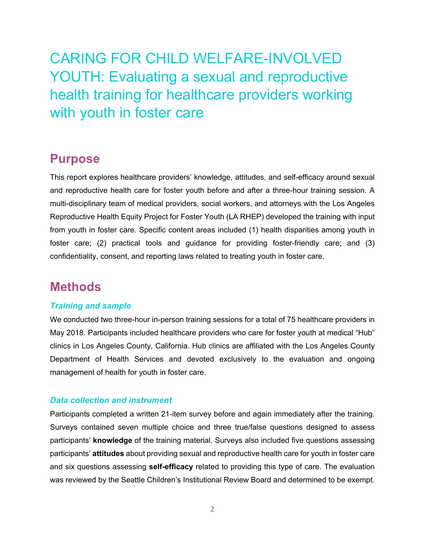CARING FOR CHILD WELFARE-INVOLVED YOUTH: Evaluating a sexual and reproductive health training for healthcare providers working with youth in foster care

## **Purpose**

This report explores healthcare providers' knowledge, attitudes, and self-efficacy around sexual and reproductive health care for foster youth before and after a three-hour training session. A multi-disciplinary team of medical providers, social workers, and attorneys with the Los Angeles Reproductive Health Equity Project for Foster Youth (LA RHEP) developed the training with input from youth in foster care. Specific content areas included (1) health disparities among youth in foster care; (2) practical tools and guidance for providing foster-friendly care; and (3) confidentiality, consent, and reporting laws related to treating youth in foster care.

## **Methods**

#### *Training and sample*

We conducted two three-hour in-person training sessions for a total of 75 healthcare providers in May 2018. Participants included healthcare providers who care for foster youth at medical "Hub" clinics in Los Angeles County, California. Hub clinics are affiliated with the Los Angeles County Department of Health Services and devoted exclusively to the evaluation and ongoing management of health for youth in foster care.

#### *Data collection and instrument*

Participants completed a written 21-item survey before and again immediately after the training. Surveys contained seven multiple choice and three true/false questions designed to assess participants' **knowledge** of the training material. Surveys also included five questions assessing participants' **attitudes** about providing sexual and reproductive health care for youth in foster care and six questions assessing **self-efficacy** related to providing this type of care. The evaluation was reviewed by the Seattle Children's Institutional Review Board and determined to be exempt.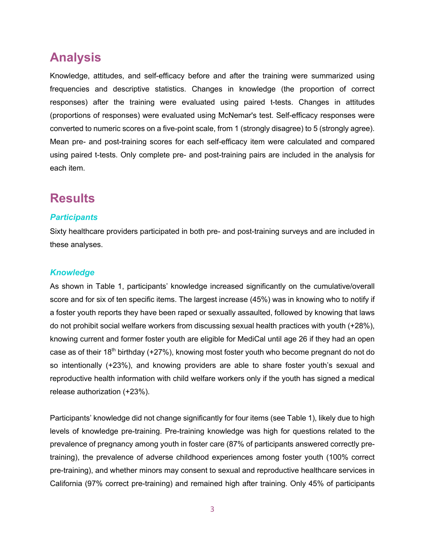# **Analysis**

Knowledge, attitudes, and self-efficacy before and after the training were summarized using frequencies and descriptive statistics. Changes in knowledge (the proportion of correct responses) after the training were evaluated using paired t-tests. Changes in attitudes (proportions of responses) were evaluated using McNemar's test. Self-efficacy responses were converted to numeric scores on a five-point scale, from 1 (strongly disagree) to 5 (strongly agree). Mean pre- and post-training scores for each self-efficacy item were calculated and compared using paired t-tests. Only complete pre- and post-training pairs are included in the analysis for each item.

## **Results**

#### *Participants*

Sixty healthcare providers participated in both pre- and post-training surveys and are included in these analyses.

#### *Knowledge*

As shown in Table 1, participants' knowledge increased significantly on the cumulative/overall score and for six of ten specific items. The largest increase (45%) was in knowing who to notify if a foster youth reports they have been raped or sexually assaulted, followed by knowing that laws do not prohibit social welfare workers from discussing sexual health practices with youth (+28%), knowing current and former foster youth are eligible for MediCal until age 26 if they had an open case as of their 18<sup>th</sup> birthday (+27%), knowing most foster youth who become pregnant do not do so intentionally (+23%), and knowing providers are able to share foster youth's sexual and reproductive health information with child welfare workers only if the youth has signed a medical release authorization (+23%).

Participants' knowledge did not change significantly for four items (see Table 1), likely due to high levels of knowledge pre-training. Pre-training knowledge was high for questions related to the prevalence of pregnancy among youth in foster care (87% of participants answered correctly pretraining), the prevalence of adverse childhood experiences among foster youth (100% correct pre-training), and whether minors may consent to sexual and reproductive healthcare services in California (97% correct pre-training) and remained high after training. Only 45% of participants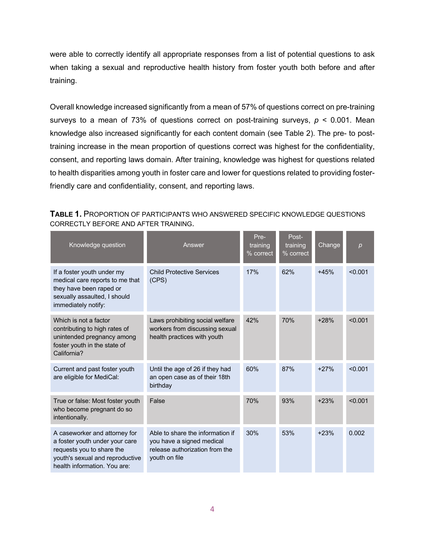were able to correctly identify all appropriate responses from a list of potential questions to ask when taking a sexual and reproductive health history from foster youth both before and after training.

Overall knowledge increased significantly from a mean of 57% of questions correct on pre-training surveys to a mean of 73% of questions correct on post-training surveys, *p* < 0.001. Mean knowledge also increased significantly for each content domain (see Table 2). The pre- to posttraining increase in the mean proportion of questions correct was highest for the confidentiality, consent, and reporting laws domain. After training, knowledge was highest for questions related to health disparities among youth in foster care and lower for questions related to providing fosterfriendly care and confidentiality, consent, and reporting laws.

| Knowledge question                                                                                                                                              | Answer                                                                                                           | Pre-<br>training<br>% correct | Post-<br>training<br>% correct | Change | $\boldsymbol{p}$ |
|-----------------------------------------------------------------------------------------------------------------------------------------------------------------|------------------------------------------------------------------------------------------------------------------|-------------------------------|--------------------------------|--------|------------------|
| If a foster youth under my<br>medical care reports to me that<br>they have been raped or<br>sexually assaulted, I should<br>immediately notify:                 | <b>Child Protective Services</b><br>(CPS)                                                                        | 17%                           | 62%                            | $+45%$ | < 0.001          |
| Which is not a factor<br>contributing to high rates of<br>unintended pregnancy among<br>foster youth in the state of<br>California?                             | Laws prohibiting social welfare<br>workers from discussing sexual<br>health practices with youth                 | 42%                           | 70%                            | $+28%$ | < 0.001          |
| Current and past foster youth<br>are eligible for MediCal:                                                                                                      | Until the age of 26 if they had<br>an open case as of their 18th<br>birthday                                     | 60%                           | 87%                            | $+27%$ | < 0.001          |
| True or false: Most foster youth<br>who become pregnant do so<br>intentionally.                                                                                 | False                                                                                                            | 70%                           | 93%                            | $+23%$ | < 0.001          |
| A caseworker and attorney for<br>a foster youth under your care<br>requests you to share the<br>youth's sexual and reproductive<br>health information. You are: | Able to share the information if<br>you have a signed medical<br>release authorization from the<br>youth on file | 30%                           | 53%                            | $+23%$ | 0.002            |

**TABLE 1.** PROPORTION OF PARTICIPANTS WHO ANSWERED SPECIFIC KNOWLEDGE QUESTIONS CORRECTLY BEFORE AND AFTER TRAINING.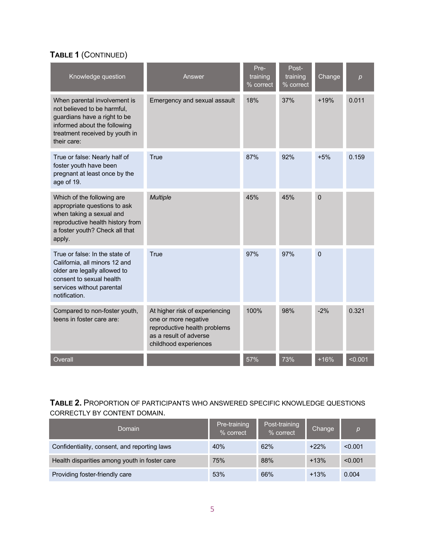### **TABLE 1** (CONTINUED)

| Knowledge question                                                                                                                                                           | Answer                                                                                                                                    | Pre-<br>training<br>% correct | Post-<br>training<br>% correct | Change         | p       |
|------------------------------------------------------------------------------------------------------------------------------------------------------------------------------|-------------------------------------------------------------------------------------------------------------------------------------------|-------------------------------|--------------------------------|----------------|---------|
| When parental involvement is<br>not believed to be harmful,<br>guardians have a right to be<br>informed about the following<br>treatment received by youth in<br>their care: | Emergency and sexual assault                                                                                                              | 18%                           | 37%                            | $+19%$         | 0.011   |
| True or false: Nearly half of<br>foster youth have been<br>pregnant at least once by the<br>age of 19.                                                                       | True                                                                                                                                      | 87%                           | 92%                            | $+5%$          | 0.159   |
| Which of the following are<br>appropriate questions to ask<br>when taking a sexual and<br>reproductive health history from<br>a foster youth? Check all that<br>apply.       | <b>Multiple</b>                                                                                                                           | 45%                           | 45%                            | $\overline{0}$ |         |
| True or false: In the state of<br>California, all minors 12 and<br>older are legally allowed to<br>consent to sexual health<br>services without parental<br>notification.    | True                                                                                                                                      | 97%                           | 97%                            | $\Omega$       |         |
| Compared to non-foster youth,<br>teens in foster care are:                                                                                                                   | At higher risk of experiencing<br>one or more negative<br>reproductive health problems<br>as a result of adverse<br>childhood experiences | 100%                          | 98%                            | $-2%$          | 0.321   |
| Overall                                                                                                                                                                      |                                                                                                                                           | 57%                           | 73%                            | $+16%$         | < 0.001 |

#### **TABLE 2.** PROPORTION OF PARTICIPANTS WHO ANSWERED SPECIFIC KNOWLEDGE QUESTIONS CORRECTLY BY CONTENT DOMAIN.

| Domain                                        | Pre-training<br>% correct | Post-training<br>% correct | Change | D       |
|-----------------------------------------------|---------------------------|----------------------------|--------|---------|
| Confidentiality, consent, and reporting laws  | 40%                       | 62%                        | $+22%$ | < 0.001 |
| Health disparities among youth in foster care | 75%                       | 88%                        | $+13%$ | < 0.001 |
| Providing foster-friendly care                | 53%                       | 66%                        | $+13%$ | 0.004   |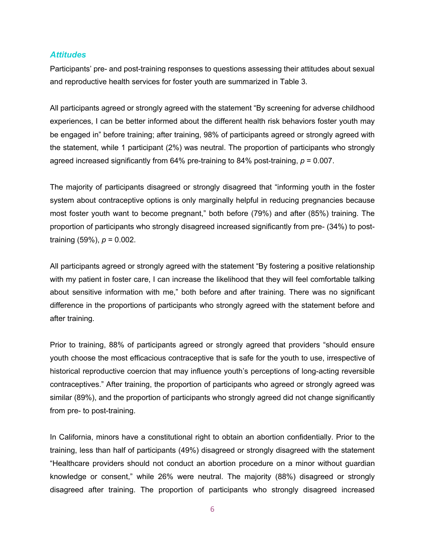#### *Attitudes*

Participants' pre- and post-training responses to questions assessing their attitudes about sexual and reproductive health services for foster youth are summarized in Table 3.

All participants agreed or strongly agreed with the statement "By screening for adverse childhood experiences, I can be better informed about the different health risk behaviors foster youth may be engaged in" before training; after training, 98% of participants agreed or strongly agreed with the statement, while 1 participant (2%) was neutral. The proportion of participants who strongly agreed increased significantly from 64% pre-training to 84% post-training, *p* = 0.007.

The majority of participants disagreed or strongly disagreed that "informing youth in the foster system about contraceptive options is only marginally helpful in reducing pregnancies because most foster youth want to become pregnant," both before (79%) and after (85%) training. The proportion of participants who strongly disagreed increased significantly from pre- (34%) to posttraining (59%), *p* = 0.002.

All participants agreed or strongly agreed with the statement "By fostering a positive relationship with my patient in foster care, I can increase the likelihood that they will feel comfortable talking about sensitive information with me," both before and after training. There was no significant difference in the proportions of participants who strongly agreed with the statement before and after training.

Prior to training, 88% of participants agreed or strongly agreed that providers "should ensure youth choose the most efficacious contraceptive that is safe for the youth to use, irrespective of historical reproductive coercion that may influence youth's perceptions of long-acting reversible contraceptives." After training, the proportion of participants who agreed or strongly agreed was similar (89%), and the proportion of participants who strongly agreed did not change significantly from pre- to post-training.

In California, minors have a constitutional right to obtain an abortion confidentially. Prior to the training, less than half of participants (49%) disagreed or strongly disagreed with the statement "Healthcare providers should not conduct an abortion procedure on a minor without guardian knowledge or consent," while 26% were neutral. The majority (88%) disagreed or strongly disagreed after training. The proportion of participants who strongly disagreed increased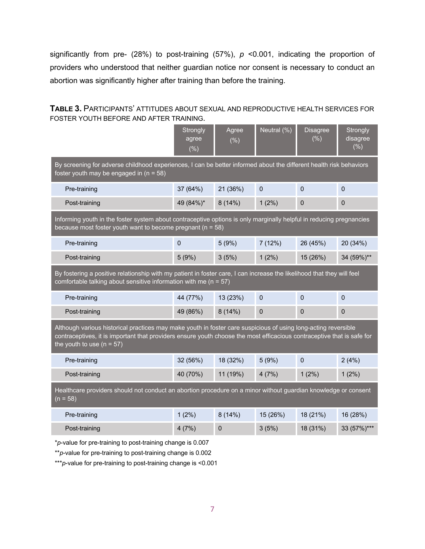significantly from pre- (28%) to post-training (57%), *p* <0.001, indicating the proportion of providers who understood that neither guardian notice nor consent is necessary to conduct an abortion was significantly higher after training than before the training.

| <b>TABLE 3. PARTICIPANTS' ATTITUDES ABOUT SEXUAL AND REPRODUCTIVE HEALTH SERVICES FOR</b> |  |
|-------------------------------------------------------------------------------------------|--|
| FOSTER YOUTH BEFORE AND AFTER TRAINING.                                                   |  |

|                                                                                                                                                                                                                                                                         | Strongly<br>agree<br>(%) | Agree<br>$(\% )$ | $\overline{\text{Neutral}}\left(\% \right)$ | <b>Disagree</b><br>(% ) | Strongly<br>disagree<br>$(\% )$ |  |  |  |
|-------------------------------------------------------------------------------------------------------------------------------------------------------------------------------------------------------------------------------------------------------------------------|--------------------------|------------------|---------------------------------------------|-------------------------|---------------------------------|--|--|--|
| By screening for adverse childhood experiences, I can be better informed about the different health risk behaviors<br>foster youth may be engaged in $(n = 58)$                                                                                                         |                          |                  |                                             |                         |                                 |  |  |  |
| Pre-training                                                                                                                                                                                                                                                            | 37 (64%)                 | 21 (36%)         | $\mathbf 0$                                 | $\Omega$                | $\Omega$                        |  |  |  |
| Post-training                                                                                                                                                                                                                                                           | 49 (84%)*                | 8(14%)           | 1(2%)                                       | $\overline{0}$          | $\mathbf 0$                     |  |  |  |
| Informing youth in the foster system about contraceptive options is only marginally helpful in reducing pregnancies<br>because most foster youth want to become pregnant ( $n = 58$ )                                                                                   |                          |                  |                                             |                         |                                 |  |  |  |
| Pre-training                                                                                                                                                                                                                                                            | $\mathbf 0$              | 5(9%)            | 7(12%)                                      | 26 (45%)                | 20 (34%)                        |  |  |  |
| Post-training                                                                                                                                                                                                                                                           | 5(9%)                    | 3(5%)            | $1(2\%)$                                    | 15 (26%)                | 34 (59%)**                      |  |  |  |
| By fostering a positive relationship with my patient in foster care, I can increase the likelihood that they will feel<br>comfortable talking about sensitive information with me ( $n = 57$ )                                                                          |                          |                  |                                             |                         |                                 |  |  |  |
| Pre-training                                                                                                                                                                                                                                                            | 44 (77%)                 | 13 (23%)         | $\pmb{0}$                                   | $\mathbf 0$             | $\mathbf 0$                     |  |  |  |
| Post-training                                                                                                                                                                                                                                                           | 49 (86%)                 | 8(14%)           | 0                                           | $\mathbf 0$             | $\mathbf 0$                     |  |  |  |
| Although various historical practices may make youth in foster care suspicious of using long-acting reversible<br>contraceptives, it is important that providers ensure youth choose the most efficacious contraceptive that is safe for<br>the youth to use $(n = 57)$ |                          |                  |                                             |                         |                                 |  |  |  |
| Pre-training                                                                                                                                                                                                                                                            | 32 (56%)                 | 18 (32%)         | 5(9%)                                       | $\mathbf 0$             | 2(4%)                           |  |  |  |
| Post-training                                                                                                                                                                                                                                                           | 40 (70%)                 | 11 (19%)         | 4(7%)                                       | 1(2%)                   | $1(2\%)$                        |  |  |  |
| Healthcare providers should not conduct an abortion procedure on a minor without guardian knowledge or consent<br>$(n = 58)$                                                                                                                                            |                          |                  |                                             |                         |                                 |  |  |  |
| Pre-training                                                                                                                                                                                                                                                            | $1(2\%)$                 | 8(14%)           | 15 (26%)                                    | 18 (21%)                | 16 (28%)                        |  |  |  |
| Post-training                                                                                                                                                                                                                                                           | 4(7%)                    | $\mathbf 0$      | 3(5%)                                       | 18 (31%)                | 33 (57%)***                     |  |  |  |
|                                                                                                                                                                                                                                                                         |                          |                  |                                             |                         |                                 |  |  |  |

\**p*-value for pre-training to post-training change is 0.007

\*\**p*-value for pre-training to post-training change is 0.002

\*\*\**p*-value for pre-training to post-training change is <0.001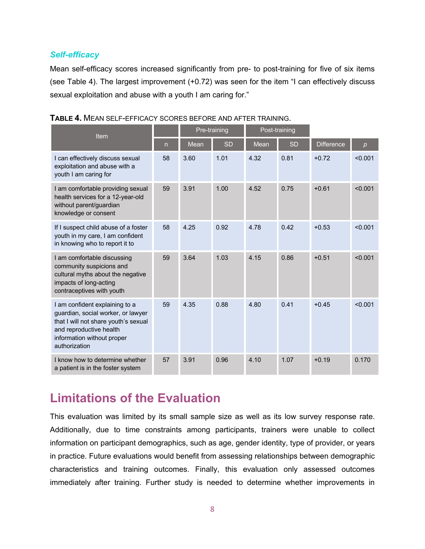#### *Self-efficacy*

Mean self-efficacy scores increased significantly from pre- to post-training for five of six items (see Table 4). The largest improvement (+0.72) was seen for the item "I can effectively discuss sexual exploitation and abuse with a youth I am caring for."

| Item                                                                                                                                                                                   |              | Pre-training |           | Post-training |           |                   |         |
|----------------------------------------------------------------------------------------------------------------------------------------------------------------------------------------|--------------|--------------|-----------|---------------|-----------|-------------------|---------|
|                                                                                                                                                                                        | $\mathsf{n}$ | Mean         | <b>SD</b> | <b>Mean</b>   | <b>SD</b> | <b>Difference</b> | p       |
| I can effectively discuss sexual<br>exploitation and abuse with a<br>youth I am caring for                                                                                             | 58           | 3.60         | 1.01      | 4.32          | 0.81      | $+0.72$           | < 0.001 |
| I am comfortable providing sexual<br>health services for a 12-year-old<br>without parent/guardian<br>knowledge or consent                                                              | 59           | 3.91         | 1.00      | 4.52          | 0.75      | $+0.61$           | < 0.001 |
| If I suspect child abuse of a foster<br>youth in my care, I am confident<br>in knowing who to report it to                                                                             | 58           | 4.25         | 0.92      | 4.78          | 0.42      | $+0.53$           | < 0.001 |
| I am comfortable discussing<br>community suspicions and<br>cultural myths about the negative<br>impacts of long-acting<br>contraceptives with youth                                    | 59           | 3.64         | 1.03      | 4.15          | 0.86      | $+0.51$           | < 0.001 |
| I am confident explaining to a<br>guardian, social worker, or lawyer<br>that I will not share youth's sexual<br>and reproductive health<br>information without proper<br>authorization | 59           | 4.35         | 0.88      | 4.80          | 0.41      | $+0.45$           | < 0.001 |
| I know how to determine whether<br>a patient is in the foster system                                                                                                                   | 57           | 3.91         | 0.96      | 4.10          | 1.07      | $+0.19$           | 0.170   |

# **Limitations of the Evaluation**

This evaluation was limited by its small sample size as well as its low survey response rate. Additionally, due to time constraints among participants, trainers were unable to collect information on participant demographics, such as age, gender identity, type of provider, or years in practice. Future evaluations would benefit from assessing relationships between demographic characteristics and training outcomes. Finally, this evaluation only assessed outcomes immediately after training. Further study is needed to determine whether improvements in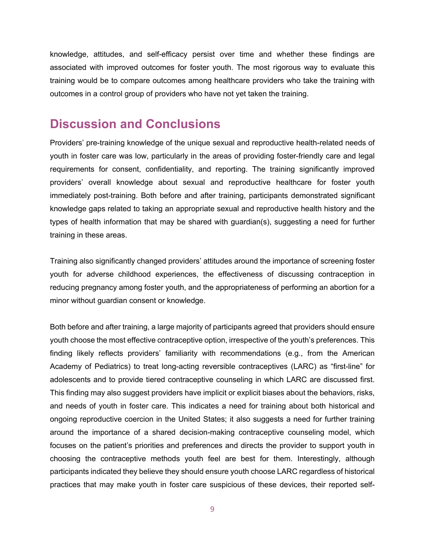knowledge, attitudes, and self-efficacy persist over time and whether these findings are associated with improved outcomes for foster youth. The most rigorous way to evaluate this training would be to compare outcomes among healthcare providers who take the training with outcomes in a control group of providers who have not yet taken the training.

## **Discussion and Conclusions**

Providers' pre-training knowledge of the unique sexual and reproductive health-related needs of youth in foster care was low, particularly in the areas of providing foster-friendly care and legal requirements for consent, confidentiality, and reporting. The training significantly improved providers' overall knowledge about sexual and reproductive healthcare for foster youth immediately post-training. Both before and after training, participants demonstrated significant knowledge gaps related to taking an appropriate sexual and reproductive health history and the types of health information that may be shared with guardian(s), suggesting a need for further training in these areas.

Training also significantly changed providers' attitudes around the importance of screening foster youth for adverse childhood experiences, the effectiveness of discussing contraception in reducing pregnancy among foster youth, and the appropriateness of performing an abortion for a minor without guardian consent or knowledge.

Both before and after training, a large majority of participants agreed that providers should ensure youth choose the most effective contraceptive option, irrespective of the youth's preferences. This finding likely reflects providers' familiarity with recommendations (e.g., from the American Academy of Pediatrics) to treat long-acting reversible contraceptives (LARC) as "first-line" for adolescents and to provide tiered contraceptive counseling in which LARC are discussed first. This finding may also suggest providers have implicit or explicit biases about the behaviors, risks, and needs of youth in foster care. This indicates a need for training about both historical and ongoing reproductive coercion in the United States; it also suggests a need for further training around the importance of a shared decision-making contraceptive counseling model, which focuses on the patient's priorities and preferences and directs the provider to support youth in choosing the contraceptive methods youth feel are best for them. Interestingly, although participants indicated they believe they should ensure youth choose LARC regardless of historical practices that may make youth in foster care suspicious of these devices, their reported self